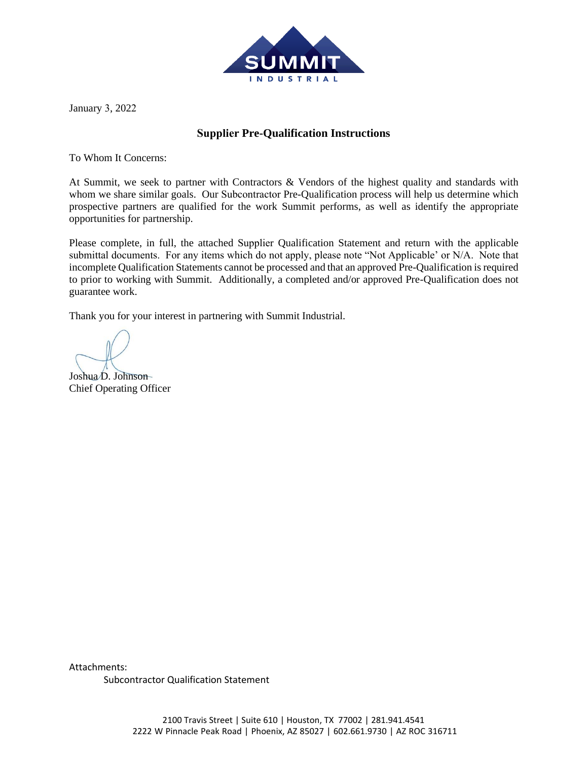

January 3, 2022

## **Supplier Pre-Qualification Instructions**

To Whom It Concerns:

At Summit, we seek to partner with Contractors & Vendors of the highest quality and standards with whom we share similar goals. Our Subcontractor Pre-Qualification process will help us determine which prospective partners are qualified for the work Summit performs, as well as identify the appropriate opportunities for partnership.

Please complete, in full, the attached Supplier Qualification Statement and return with the applicable submittal documents. For any items which do not apply, please note "Not Applicable' or N/A. Note that incomplete Qualification Statements cannot be processed and that an approved Pre-Qualification is required to prior to working with Summit. Additionally, a completed and/or approved Pre-Qualification does not guarantee work.

Thank you for your interest in partnering with Summit Industrial.

Joshua D. Johnson Chief Operating Officer

Attachments:

Subcontractor Qualification Statement